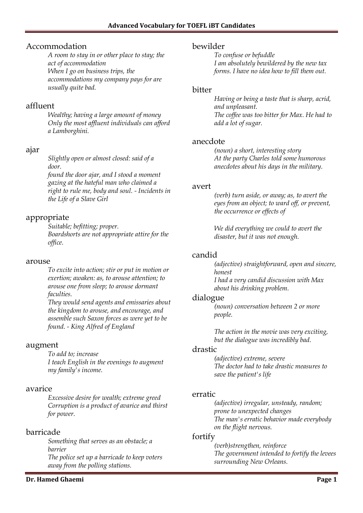## Accommodation

*A room to stay in or other place to stay; the act of accommodation When I go on business trips, the accommodations my company pays for are usually quite bad.*

## affluent

*Wealthy; having a large amount of money Only the most affluent individuals can afford a Lamborghini.*

# ajar

*Slightly open or almost closed: said of a door.*

*found the door ajar, and I stood a moment gazing at the hateful man who claimed a right to rule me, body and soul. - Incidents in the Life of a Slave Girl*

# appropriate

*Suitable; befitting; proper. Boardshorts are not appropriate attire for the office.*

### arouse

*To excite into action; stir or put in motion or exertion; awaken: as, to arouse attention; to arouse one from sleep; to arouse dormant faculties.*

*They would send agents and emissaries about the kingdom to arouse, and encourage, and assemble such Saxon forces as were yet to be found. - King Alfred of England*

## augment

*To add to; increase I teach English in the evenings to augment my family's income.*

## avarice

*Excessive desire for wealth; extreme greed Corruption is a product of avarice and thirst for power.*

# barricade

*Something that serves as an obstacle; a barrier The police set up a barricade to keep voters away from the polling stations.*

### **Dr. Hamed Ghaemi Page 1**

### bewilder

*To confuse or befuddle I am absolutely bewildered by the new tax forms. I have no idea how to fill them out.*

### bitter

*Having or being a taste that is sharp, acrid, and unpleasant. The coffee was too bitter for Max. He had to add a lot of sugar.*

### anecdote

*(noun) a short, interesting story At the party Charles told some humorous anecdotes about his days in the military.*

### avert

*(verb) turn aside, or away; as, to avert the eyes from an object; to ward off, or prevent, the occurrence or effects of*

*We did everything we could to avert the disaster, but it was not enough.*

## candid

*(adjective) straightforward, open and sincere, honest I had a very candid discussion with Max* 

*about his drinking problem.*

### dialogue

*(noun) conversation between 2 or more people.*

*The action in the movie was very exciting, but the dialogue was incredibly bad.*

### drastic

*(adjective) extreme, severe The doctor had to take drastic measures to save the patient's life*

## erratic

*(adjective) irregular, unsteady, random; prone to unexpected changes The man's erratic behavior made everybody on the flight nervous.*

## fortify

*(verb)strengthen, reinforce The government intended to fortify the levees surrounding New Orleans.*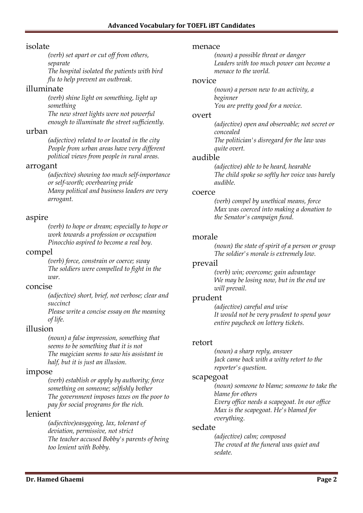### isolate

*(verb) set apart or cut off from others, separate*

*The hospital isolated the patients with bird flu to help prevent an outbreak.*

## illuminate

*(verb) shine light on something, light up something*

*The new street lights were not powerful enough to illuminate the street sufficiently.*

### urban

*(adjective) related to or located in the city People from urban areas have very different political views from people in rural areas.*

### arrogant

*(adjective) showing too much self-importance or self-worth; overbearing pride Many political and business leaders are very arrogant.*

## aspire

*(verb) to hope or dream; especially to hope or work towards a profession or occupation Pinocchio aspired to become a real boy.*

### compel

*(verb) force, constrain or coerce; sway The soldiers were compelled to fight in the war.*

### concise

*(adjective) short, brief, not verbose; clear and succinct*

*Please write a concise essay on the meaning of life.*

## illusion

*(noun) a false impression, something that seems to be something that it is not The magician seems to saw his assistant in half, but it is just an illusion.*

### impose

*(verb) establish or apply by authority; force something on someone; selfishly bother The government imposes taxes on the poor to pay for social programs for the rich.*

## lenient

*(adjective)easygoing, lax, tolerant of deviation, permissive, not strict The teacher accused Bobby's parents of being too lenient with Bobby.*

#### menace

*(noun) a possible threat or danger Leaders with too much power can become a menace to the world.*

### novice

*(noun) a person new to an activity, a beginner You are pretty good for a novice.*

#### overt

*(adjective) open and observable; not secret or concealed The politician's disregard for the law was* 

*quite overt.*

### audible

*(adjective) able to be heard, hearable The child spoke so softly her voice was barely audible.*

### coerce

*(verb) compel by unethical means, force Max was coerced into making a donation to the Senator's campaign fund.*

### morale

*(noun) the state of spirit of a person or group The soldier's morale is extremely low.*

### prevail

*(verb) win; overcome; gain advantage We may be losing now, but in the end we will prevail.*

### prudent

*(adjective) careful and wise It would not be very prudent to spend your entire paycheck on lottery tickets.*

### retort

*(noun) a sharp reply, answer Jack came back with a witty retort to the reporter's question.*

### scapegoat

*(noun) someone to blame; someone to take the blame for others Every office needs a scapegoat. In our office Max is the scapegoat. He's blamed for everything.*

### sedate

*(adjective) calm; composed The crowd at the funeral was quiet and sedate.*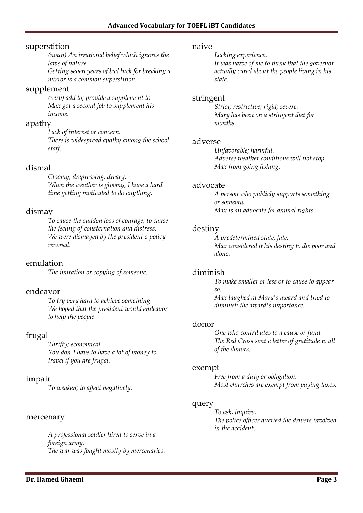### superstition

*(noun) An irrational belief which ignores the laws of nature.*

*Getting seven years of bad luck for breaking a mirror is a common superstition.*

### supplement

*(verb) add to; provide a supplement to Max got a second job to supplement his income.*

### apathy

*Lack of interest or concern. There is widespread apathy among the school staff.*

## dismal

*Gloomy; drepressing; dreary. When the weather is gloomy, I have a hard time getting motivated to do anything.*

## dismay

*To cause the sudden loss of courage; to cause the feeling of consternation and distress. We were dismayed by the president's policy reversal.*

## emulation

*The imitation or copying of someone.*

## endeavor

*To try very hard to achieve something. We hoped that the president would endeavor to help the people.*

## frugal

*Thrifty; economical. You don't have to have a lot of money to travel if you are frugal.*

## impair

*To weaken; to affect negatively.*

### mercenary

*A professional soldier hired to serve in a foreign army. The war was fought mostly by mercenaries.*

#### naive

*Lacking experience. It was naive of me to think that the governor actually cared about the people living in his state.*

### stringent

*Strict; restrictive; rigid; severe. Mary has been on a stringent diet for months.*

### adverse

*Unfavorable; harmful. Adverse weather conditions will not stop Max from going fishing.*

### advocate

*A person who publicly supports something or someone. Max is an advocate for animal rights.*

## destiny

*A predetermined state; fate. Max considered it his destiny to die poor and alone.*

## diminish

*To make smaller or less or to cause to appear so. Max laughed at Mary's award and tried to* 

*diminish the award's importance.*

### donor

*One who contributes to a cause or fund. The Red Cross sent a letter of gratitude to all of the donors.*

### exempt

*Free from a duty or obligation. Most churches are exempt from paying taxes.*

### query

*To ask, inquire. The police officer queried the drivers involved in the accident.*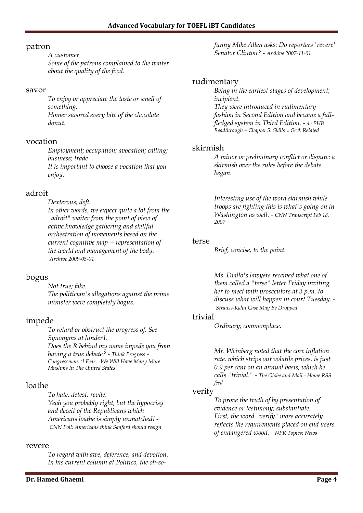### patron

*A customer Some of the patrons complained to the waiter about the quality of the food.*

#### savor

*To enjoy or appreciate the taste or smell of something. Homer savored every bite of the chocolate donut.*

### vocation

*Employment; occupation; avocation; calling; business; trade It is important to choose a vocation that you enjoy.*

## adroit

*Dexterous; deft. In other words, we expect quite a lot from the "adroit" waiter from the point of view of active knowledge gathering and skillful orchestration of movements based on the current cognitive map -- representation of the world and management of the body. - Archive 2009-05-01*

# bogus

*Not true; fake. The politician's allegations against the prime minister were completely bogus.*

# impede

*To retard or obstruct the progress of. See Synonyms at hinder1. Does the R behind my name impede you from having a true debate? - Think Progress » Congressman: 'I Fear…We Will Have Many More Muslims In The United States'*

# loathe

*To hate, detest, revile. Yeah you probably right, but the hypocrisy and deceit of the Republicans which Americans loathe is simply unmatched! - CNN Poll: Americans think Sanford should resign*

### revere

*To regard with awe, deference, and devotion. In his current column at Politico, the oh-so-*

**Dr. Hamed Ghaemi Page 4**

*funny Mike Allen asks: Do reporters 'revere' Senator Clinton? - Archive 2007-11-01*

## rudimentary

*Being in the earliest stages of development; incipient.*

*They were introduced in rudimentary fashion in Second Edition and became a fullfledged system in Third Edition. - 4e PHB Readthrough – Chapter 5: Skills « Geek Related*

## skirmish

*A minor or preliminary conflict or dispute: a skirmish over the rules before the debate began.*

*Interesting use of the word skirmish while troops are fighting this is what's going on in Washington as well. - CNN Transcript Feb 18, 2007*

### terse

*Brief, concise, to the point.*

*Ms. Diallo's lawyers received what one of them called a "terse" letter Friday inviting her to meet with prosecutors at 3 p.m. to discuss what will happen in court Tuesday. - Strauss-Kahn Case May Be Dropped*

## trivial

*Ordinary; commonplace.*

*Mr. Weinberg noted that the core inflation rate, which strips out volatile prices, is just 0.9 per cent on an annual basis, which he calls "trivial." - The Globe and Mail - Home RSS feed*

# verify

*To prove the truth of by presentation of evidence or testimony; substantiate. First, the word "verify" more accurately reflects the requirements placed on end users of endangered wood. - NPR Topics: News*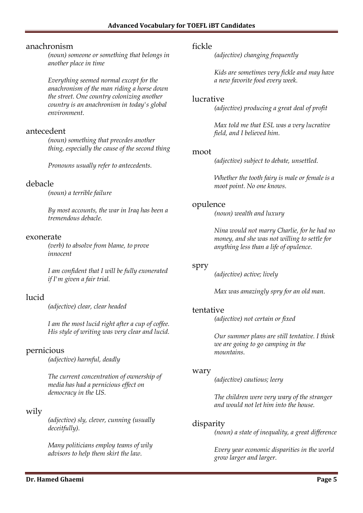### anachronism

*(noun) someone or something that belongs in another place in time*

*Everything seemed normal except for the anachronism of the man riding a horse down the street. One country colonizing another country is an anachronism in today's global environment.*

## antecedent

*(noun) something that precedes another thing, especially the cause of the second thing*

*Pronouns usually refer to antecedents.*

### debacle

*(noun) a terrible failure*

*By most accounts, the war in Iraq has been a tremendous debacle.*

#### exonerate

*(verb) to absolve from blame, to prove innocent*

*I am confident that I will be fully exonerated if I'm given a fair trial.*

# lucid

*(adjective) clear, clear headed*

*I am the most lucid right after a cup of coffee. His style of writing was very clear and lucid.*

## pernicious

*(adjective) harmful, deadly*

*The current concentration of ownership of media has had a pernicious effect on democracy in the US.*

## wily

*(adjective) sly, clever, cunning (usually deceitfully).*

*Many politicians employ teams of wily advisors to help them skirt the law.*

### fickle

*(adjective) changing frequently*

*Kids are sometimes very fickle and may have a new favorite food every week.*

### lucrative

*(adjective) producing a great deal of profit*

*Max told me that ESL was a very lucrative field, and I believed him.*

#### moot

*(adjective) subject to debate, unsettled.*

*Whether the tooth fairy is male or female is a moot point. No one knows.*

### opulence

*(noun) wealth and luxury*

*Nina would not marry Charlie, for he had no money, and she was not willing to settle for anything less than a life of opulence.*

### spry

*(adjective) active; lively*

*Max was amazingly spry for an old man.*

### tentative

*(adjective) not certain or fixed*

*Our summer plans are still tentative. I think we are going to go camping in the mountains.*

### wary

*(adjective) cautious; leery*

*The children were very wary of the stranger and would not let him into the house.*

### disparity

*(noun) a state of inequality, a great difference*

*Every year economic disparities in the world grow larger and larger.*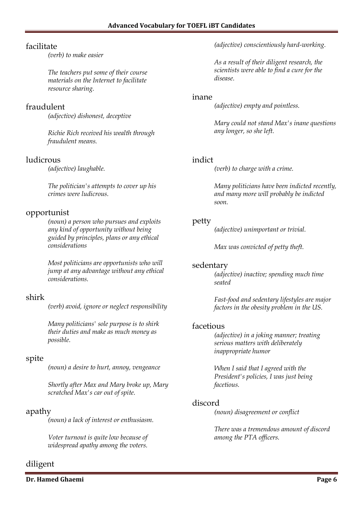# facilitate

*(verb) to make easier*

*The teachers put some of their course materials on the Internet to facilitate resource sharing.*

# fraudulent

*(adjective) dishonest, deceptive*

*Richie Rich received his wealth through fraudulent means.*

# ludicrous

*(adjective) laughable.*

*The politician's attempts to cover up his crimes were ludicrous.*

# opportunist

*(noun) a person who pursues and exploits any kind of opportunity without being guided by principles, plans or any ethical considerations*

*Most politicians are opportunists who will jump at any advantage without any ethical considerations.*

# shirk

*(verb) avoid, ignore or neglect responsibility*

*Many politicians' sole purpose is to shirk their duties and make as much money as possible.*

# spite

*(noun) a desire to hurt, annoy, vengeance*

*Shortly after Max and Mary broke up, Mary scratched Max's car out of spite.*

# apathy

*(noun) a lack of interest or enthusiasm.*

*Voter turnout is quite low because of widespread apathy among the voters.*

# diligent

**Dr. Hamed Ghaemi Page 6**

*(adjective) conscientiously hard-working.*

*As a result of their diligent research, the scientists were able to find a cure for the disease.*

## inane

*(adjective) empty and pointless.*

*Mary could not stand Max's inane questions any longer, so she left.*

# indict

*(verb) to charge with a crime.*

*Many politicians have been indicted recently, and many more will probably be indicted soon.*

# petty

*(adjective) unimportant or trivial.*

*Max was convicted of petty theft.*

## sedentary

*(adjective) inactive; spending much time seated*

*Fast-food and sedentary lifestyles are major factors in the obesity problem in the US.*

# facetious

*(adjective) in a joking manner; treating serious matters with deliberately inappropriate humor*

*When I said that I agreed with the President's policies, I was just being facetious.*

# discord

*(noun) disagreement or conflict*

*There was a tremendous amount of discord among the PTA officers.*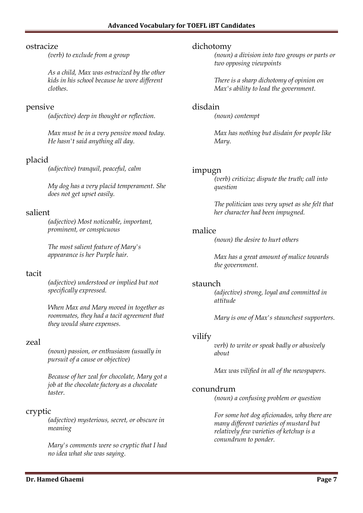### ostracize

*(verb) to exclude from a group*

*As a child, Max was ostracized by the other kids in his school because he wore different clothes.*

## pensive

*(adjective) deep in thought or reflection.*

*Max must be in a very pensive mood today. He hasn't said anything all day.*

## placid

*(adjective) tranquil, peaceful, calm*

*My dog has a very placid temperament. She does not get upset easily.*

## salient

*(adjective) Most noticeable, important, prominent, or conspicuous*

*The most salient feature of Mary's appearance is her Purple hair.*

### tacit

*(adjective) understood or implied but not specifically expressed.*

*When Max and Mary moved in together as roommates, they had a tacit agreement that they would share expenses.*

## zeal

*(noun) passion, or enthusiasm (usually in pursuit of a cause or objective)*

*Because of her zeal for chocolate, Mary got a job at the chocolate factory as a chocolate taster.*

## cryptic

*(adjective) mysterious, secret, or obscure in meaning*

*Mary's comments were so cryptic that I had no idea what she was saying.*

### dichotomy

*(noun) a division into two groups or parts or two opposing viewpoints*

*There is a sharp dichotomy of opinion on Max's ability to lead the government.*

### disdain

*(noun) contempt*

*Max has nothing but disdain for people like Mary.*

### impugn

*(verb) criticize; dispute the truth; call into question*

*The politician was very upset as she felt that her character had been impugned.*

## malice

*(noun) the desire to hurt others*

*Max has a great amount of malice towards the government.*

### staunch

*(adjective) strong, loyal and committed in attitude*

*Mary is one of Max's staunchest supporters.*

## vilify

*verb) to write or speak badly or abusively about*

*Max was vilified in all of the newspapers.*

## conundrum

*(noun) a confusing problem or question*

*For some hot dog aficionados, why there are many different varieties of mustard but relatively few varieties of ketchup is a conundrum to ponder.*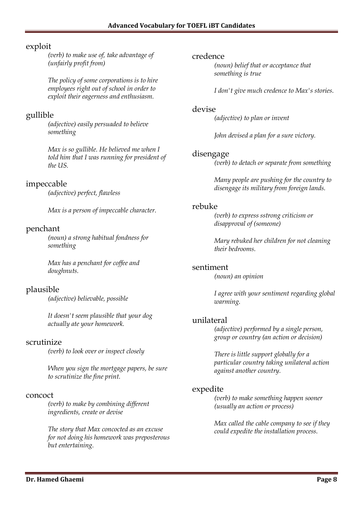## exploit

*(verb) to make use of, take advantage of (unfairly profit from)*

*The policy of some corporations is to hire employees right out of school in order to exploit their eagerness and enthusiasm.*

# gullible

*(adjective) easily persuaded to believe something*

*Max is so gullible. He believed me when I told him that I was running for president of the US.*

# impeccable

*(adjective) perfect, flawless*

*Max is a person of impeccable character.*

## penchant

*(noun) a strong habitual fondness for something*

*Max has a penchant for coffee and doughnuts.*

# plausible

*(adjective) believable, possible*

*It doesn't seem plausible that your dog actually ate your homework.*

### scrutinize

*(verb) to look over or inspect closely*

*When you sign the mortgage papers, be sure to scrutinize the fine print.*

### concoct

*(verb) to make by combining different ingredients, create or devise*

*The story that Max concocted as an excuse for not doing his homework was preposterous but entertaining.*

### credence

*(noun) belief that or acceptance that something is true*

*I don't give much credence to Max's stories.*

### devise

*(adjective) to plan or invent*

*John devised a plan for a sure victory.*

## disengage

*(verb) to detach or separate from something*

*Many people are pushing for the country to disengage its military from foreign lands.*

### rebuke

*(verb) to express sstrong criticism or disapproval of (someone)*

*Mary rebuked her children for not cleaning their bedrooms.*

### sentiment

*(noun) an opinion*

*I agree with your sentiment regarding global warming.*

### unilateral

*(adjective) performed by a single person, group or country (an action or decision)*

*There is little support globally for a particular country taking unilateral action against another country.*

## expedite

*(verb) to make something happen sooner (usually an action or process)*

*Max called the cable company to see if they could expedite the installation process.*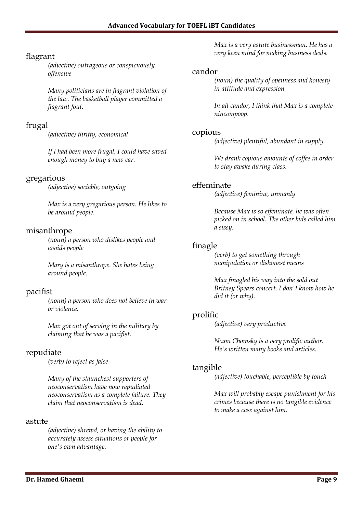# flagrant

*(adjective) outrageous or conspicuously offensive*

*Many politicians are in flagrant violation of the law. The basketball player committed a flagrant foul.*

# frugal

*(adjective) thrifty, economical*

*If I had been more frugal, I could have saved enough money to buy a new car.*

## gregarious

*(adjective) sociable, outgoing*

*Max is a very gregarious person. He likes to be around people.*

# misanthrope

*(noun) a person who dislikes people and avoids people*

*Mary is a misanthrope. She hates being around people.*

# pacifist

*(noun) a person who does not believe in war or violence.*

*Max got out of serving in the military by claiming that he was a pacifist.*

# repudiate

*(verb) to reject as false*

*Many of the staunchest supporters of neoconservatism have now repudiated neoconservatism as a complete failure. They claim that neoconservatism is dead.*

## astute

*(adjective) shrewd, or having the ability to accurately assess situations or people for one's own advantage.*

*Max is a very astute businessman. He has a very keen mind for making business deals.*

## candor

*(noun) the quality of openness and honesty in attitude and expression*

*In all candor, I think that Max is a complete nincompoop.*

## copious

*(adjective) plentiful, abundant in supply*

*We drank copious amounts of coffee in order to stay awake during class.*

# effeminate

*(adjective) feminine, unmanly*

*Because Max is so effeminate, he was often picked on in school. The other kids called him a sissy.*

## finagle

*(verb) to get something through manipulation or dishonest means*

*Max finagled his way into the sold out Britney Spears concert. I don't know how he did it (or why).*

# prolific

*(adjective) very productive*

*Noam Chomsky is a very prolific author. He's written many books and articles.*

# tangible

*(adjective) touchable, perceptible by touch*

*Max will probably escape punishment for his crimes because there is no tangible evidence to make a case against him.*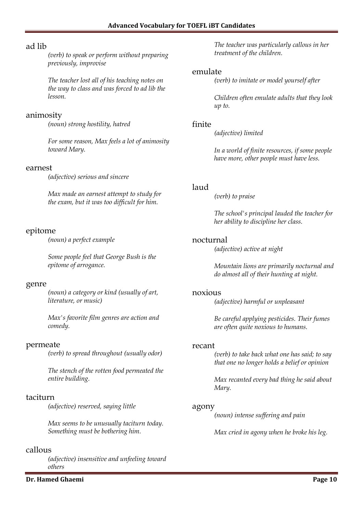## ad lib

*(verb) to speak or perform without preparing previously, improvise*

*The teacher lost all of his teaching notes on the way to class and was forced to ad lib the lesson.*

### animosity

*(noun) strong hostility, hatred*

*For some reason, Max feels a lot of animosity toward Mary.*

#### earnest

*(adjective) serious and sincere*

*Max made an earnest attempt to study for the exam, but it was too difficult for him.*

## epitome

*(noun) a perfect example*

*Some people feel that George Bush is the epitome of arrogance.*

### genre

*(noun) a category or kind (usually of art, literature, or music)*

*Max's favorite film genres are action and comedy.*

### permeate

*(verb) to spread throughout (usually odor)*

*The stench of the rotten food permeated the entire building.*

### taciturn

*(adjective) reserved, saying little*

*Max seems to be unusually taciturn today. Something must be bothering him.*

### callous

*(adjective) insensitive and unfeeling toward others*

**Dr. Hamed Ghaemi Page 10** 

*The teacher was particularly callous in her treatment of the children.*

### emulate

*(verb) to imitate or model yourself after*

*Children often emulate adults that they look up to.*

### finite

*(adjective) limited*

*In a world of finite resources, if some people have more, other people must have less.*

## laud

*(verb) to praise*

*The school's principal lauded the teacher for her ability to discipline her class.*

### nocturnal

*(adjective) active at night*

*Mountain lions are primarily nocturnal and do almost all of their hunting at night.*

### noxious

*(adjective) harmful or unpleasant*

*Be careful applying pesticides. Their fumes are often quite noxious to humans.*

### recant

*(verb) to take back what one has said; to say that one no longer holds a belief or opinion*

*Max recanted every bad thing he said about Mary.*

### agony

*(noun) intense suffering and pain*

*Max cried in agony when he broke his leg.*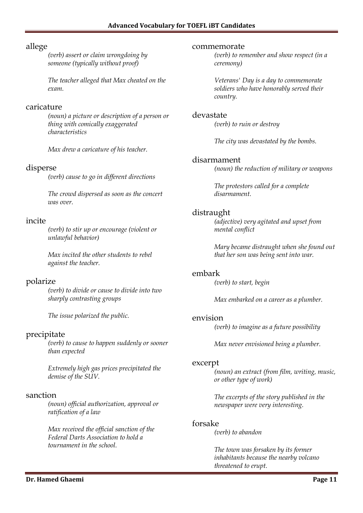## allege

*(verb) assert or claim wrongdoing by someone (typically without proof)*

*The teacher alleged that Max cheated on the exam.*

### caricature

*(noun) a picture or description of a person or thing with comically exaggerated characteristics*

*Max drew a caricature of his teacher.*

## disperse

*(verb) cause to go in different directions*

*The crowd dispersed as soon as the concert was over.*

## incite

*(verb) to stir up or encourage (violent or unlawful behavior)*

*Max incited the other students to rebel against the teacher.*

# polarize

*(verb) to divide or cause to divide into two sharply contrasting groups*

*The issue polarized the public.*

# precipitate

*(verb) to cause to happen suddenly or sooner than expected*

*Extremely high gas prices precipitated the demise of the SUV.*

## sanction

*(noun) official authorization, approval or ratification of a law*

*Max received the official sanction of the Federal Darts Association to hold a tournament in the school.*

#### commemorate

*(verb) to remember and show respect (in a ceremony)*

*Veterans' Day is a day to commemorate soldiers who have honorably served their country.*

### devastate

*(verb) to ruin or destroy*

*The city was devastated by the bombs.*

## disarmament

*(noun) the reduction of military or weapons*

*The protestors called for a complete disarmament.*

## distraught

*(adjective) very agitated and upset from mental conflict*

*Mary became distraught when she found out that her son was being sent into war.*

## embark

*(verb) to start, begin*

*Max embarked on a career as a plumber.*

### envision

*(verb) to imagine as a future possibility*

*Max never envisioned being a plumber.*

### excerpt

*(noun) an extract (from film, writing, music, or other type of work)*

*The excerpts of the story published in the newspaper were very interesting.*

## forsake

*(verb) to abandon*

*The town was forsaken by its former inhabitants because the nearby volcano threatened to erupt.*